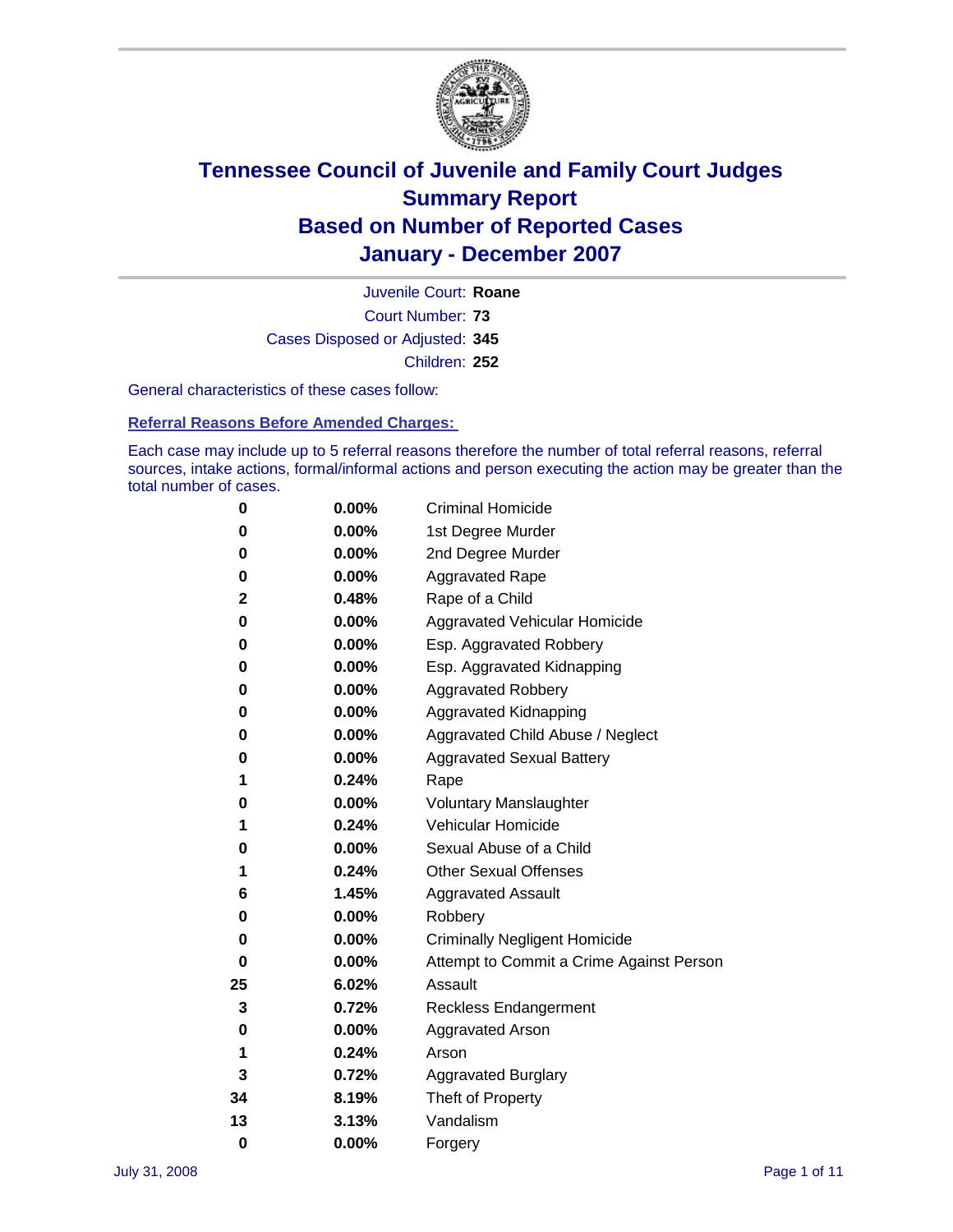

Court Number: **73** Juvenile Court: **Roane** Cases Disposed or Adjusted: **345** Children: **252**

General characteristics of these cases follow:

**Referral Reasons Before Amended Charges:** 

Each case may include up to 5 referral reasons therefore the number of total referral reasons, referral sources, intake actions, formal/informal actions and person executing the action may be greater than the total number of cases.

| 0  | 0.00%    | <b>Criminal Homicide</b>                 |
|----|----------|------------------------------------------|
| 0  | 0.00%    | 1st Degree Murder                        |
| 0  | $0.00\%$ | 2nd Degree Murder                        |
| 0  | 0.00%    | <b>Aggravated Rape</b>                   |
| 2  | 0.48%    | Rape of a Child                          |
| 0  | 0.00%    | Aggravated Vehicular Homicide            |
| 0  | 0.00%    | Esp. Aggravated Robbery                  |
| 0  | 0.00%    | Esp. Aggravated Kidnapping               |
| 0  | 0.00%    | <b>Aggravated Robbery</b>                |
| 0  | 0.00%    | Aggravated Kidnapping                    |
| 0  | 0.00%    | Aggravated Child Abuse / Neglect         |
| 0  | $0.00\%$ | <b>Aggravated Sexual Battery</b>         |
| 1  | 0.24%    | Rape                                     |
| 0  | 0.00%    | <b>Voluntary Manslaughter</b>            |
| 1  | 0.24%    | Vehicular Homicide                       |
| 0  | 0.00%    | Sexual Abuse of a Child                  |
| 1  | 0.24%    | <b>Other Sexual Offenses</b>             |
| 6  | 1.45%    | <b>Aggravated Assault</b>                |
| 0  | $0.00\%$ | Robbery                                  |
| 0  | 0.00%    | <b>Criminally Negligent Homicide</b>     |
| 0  | 0.00%    | Attempt to Commit a Crime Against Person |
| 25 | 6.02%    | Assault                                  |
| 3  | 0.72%    | <b>Reckless Endangerment</b>             |
| 0  | 0.00%    | Aggravated Arson                         |
| 1  | 0.24%    | Arson                                    |
| 3  | 0.72%    | <b>Aggravated Burglary</b>               |
| 34 | 8.19%    | Theft of Property                        |
| 13 | 3.13%    | Vandalism                                |
| 0  | 0.00%    | Forgery                                  |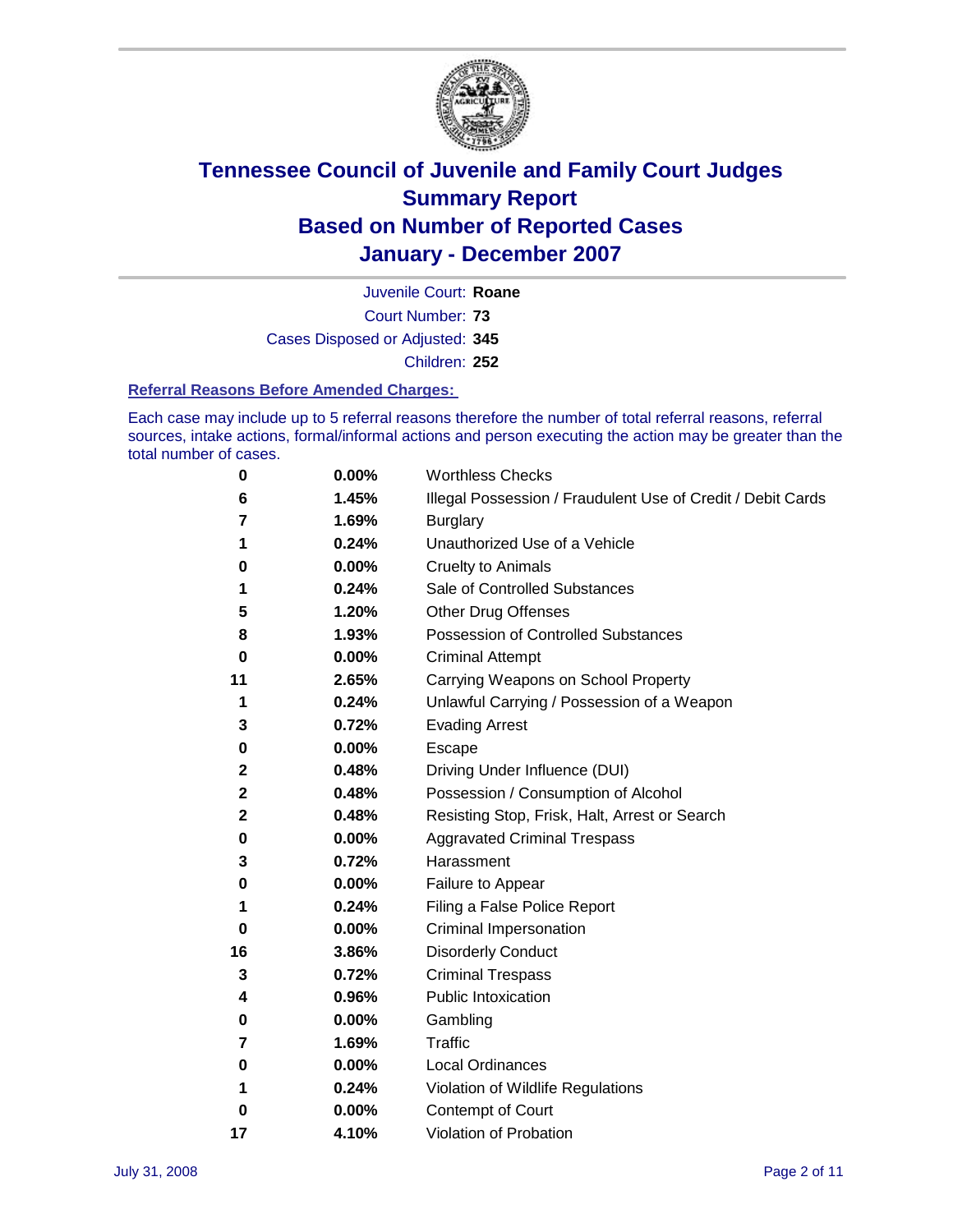

Court Number: **73** Juvenile Court: **Roane** Cases Disposed or Adjusted: **345** Children: **252**

#### **Referral Reasons Before Amended Charges:**

Each case may include up to 5 referral reasons therefore the number of total referral reasons, referral sources, intake actions, formal/informal actions and person executing the action may be greater than the total number of cases.

| 0  | 0.00%    | <b>Worthless Checks</b>                                     |
|----|----------|-------------------------------------------------------------|
| 6  | 1.45%    | Illegal Possession / Fraudulent Use of Credit / Debit Cards |
| 7  | 1.69%    | <b>Burglary</b>                                             |
| 1  | 0.24%    | Unauthorized Use of a Vehicle                               |
| 0  | 0.00%    | <b>Cruelty to Animals</b>                                   |
| 1  | 0.24%    | Sale of Controlled Substances                               |
| 5  | 1.20%    | <b>Other Drug Offenses</b>                                  |
| 8  | 1.93%    | <b>Possession of Controlled Substances</b>                  |
| 0  | $0.00\%$ | <b>Criminal Attempt</b>                                     |
| 11 | 2.65%    | Carrying Weapons on School Property                         |
| 1  | 0.24%    | Unlawful Carrying / Possession of a Weapon                  |
| 3  | 0.72%    | <b>Evading Arrest</b>                                       |
| 0  | 0.00%    | Escape                                                      |
| 2  | 0.48%    | Driving Under Influence (DUI)                               |
| 2  | 0.48%    | Possession / Consumption of Alcohol                         |
| 2  | 0.48%    | Resisting Stop, Frisk, Halt, Arrest or Search               |
| 0  | 0.00%    | <b>Aggravated Criminal Trespass</b>                         |
| 3  | 0.72%    | Harassment                                                  |
| 0  | 0.00%    | Failure to Appear                                           |
| 1  | 0.24%    | Filing a False Police Report                                |
| 0  | 0.00%    | Criminal Impersonation                                      |
| 16 | 3.86%    | <b>Disorderly Conduct</b>                                   |
| 3  | 0.72%    | <b>Criminal Trespass</b>                                    |
| 4  | 0.96%    | <b>Public Intoxication</b>                                  |
| 0  | 0.00%    | Gambling                                                    |
| 7  | 1.69%    | <b>Traffic</b>                                              |
| 0  | 0.00%    | Local Ordinances                                            |
| 1  | 0.24%    | Violation of Wildlife Regulations                           |
| 0  | 0.00%    | Contempt of Court                                           |
| 17 | 4.10%    | Violation of Probation                                      |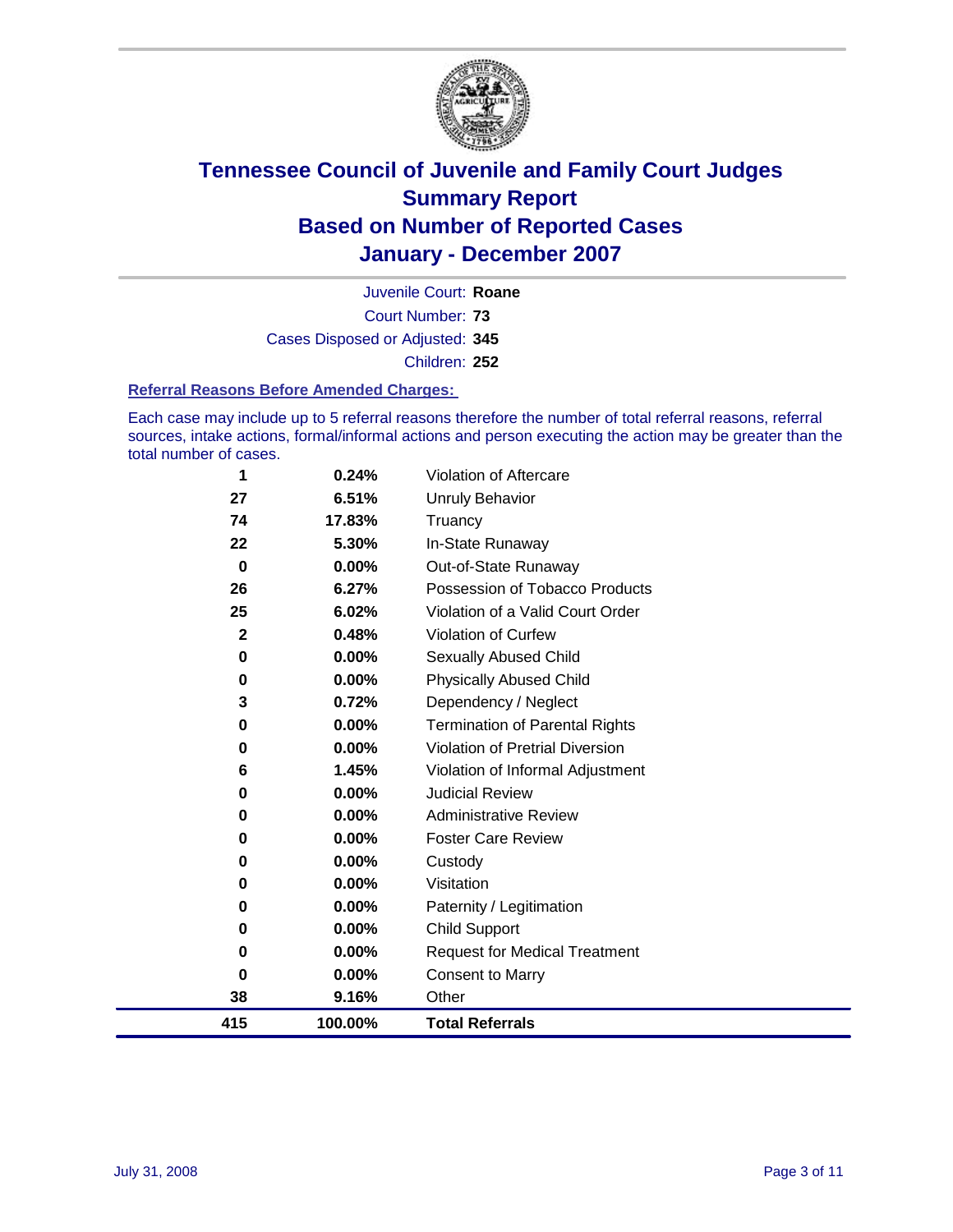

Court Number: **73** Juvenile Court: **Roane** Cases Disposed or Adjusted: **345** Children: **252**

#### **Referral Reasons Before Amended Charges:**

Each case may include up to 5 referral reasons therefore the number of total referral reasons, referral sources, intake actions, formal/informal actions and person executing the action may be greater than the total number of cases.

| 1            | 0.24%    | Violation of Aftercare                 |
|--------------|----------|----------------------------------------|
| 27           | 6.51%    | <b>Unruly Behavior</b>                 |
| 74           | 17.83%   | Truancy                                |
| 22           | 5.30%    | In-State Runaway                       |
| 0            | 0.00%    | Out-of-State Runaway                   |
| 26           | 6.27%    | Possession of Tobacco Products         |
| 25           | 6.02%    | Violation of a Valid Court Order       |
| $\mathbf{2}$ | 0.48%    | <b>Violation of Curfew</b>             |
| 0            | 0.00%    | Sexually Abused Child                  |
| 0            | 0.00%    | <b>Physically Abused Child</b>         |
| 3            | 0.72%    | Dependency / Neglect                   |
| 0            | $0.00\%$ | <b>Termination of Parental Rights</b>  |
| 0            | $0.00\%$ | <b>Violation of Pretrial Diversion</b> |
| 6            | 1.45%    | Violation of Informal Adjustment       |
| 0            | 0.00%    | <b>Judicial Review</b>                 |
| 0            | $0.00\%$ | <b>Administrative Review</b>           |
| 0            | $0.00\%$ | <b>Foster Care Review</b>              |
| 0            | 0.00%    | Custody                                |
| 0            | 0.00%    | Visitation                             |
| 0            | $0.00\%$ | Paternity / Legitimation               |
| 0            | $0.00\%$ | <b>Child Support</b>                   |
| 0            | 0.00%    | <b>Request for Medical Treatment</b>   |
| 0            | 0.00%    | <b>Consent to Marry</b>                |
| 38           | 9.16%    | Other                                  |
| 415          | 100.00%  | <b>Total Referrals</b>                 |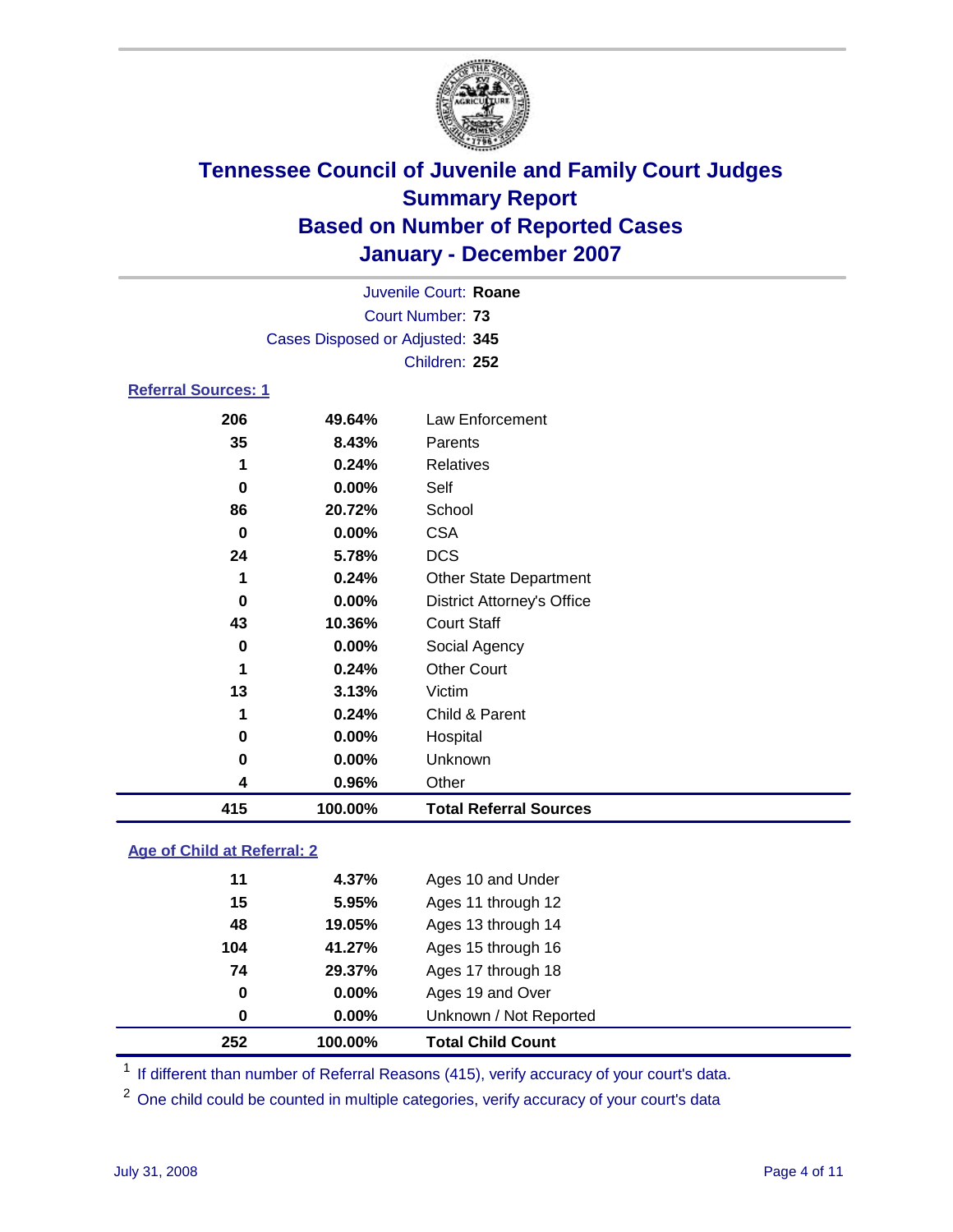

|                                 |                  | Juvenile Court: Roane |  |  |  |  |
|---------------------------------|------------------|-----------------------|--|--|--|--|
|                                 | Court Number: 73 |                       |  |  |  |  |
| Cases Disposed or Adjusted: 345 |                  |                       |  |  |  |  |
|                                 |                  | Children: 252         |  |  |  |  |
| <b>Referral Sources: 1</b>      |                  |                       |  |  |  |  |
| 206                             | 49.64%           | Law Enforcement       |  |  |  |  |
| 35                              | 8.43%            | Parents               |  |  |  |  |
| 1                               | 0.24%            | Relatives             |  |  |  |  |
| 0                               | $0.00\%$         | Self                  |  |  |  |  |
| 86                              | 20.72%           | School                |  |  |  |  |

| 415 | 100.00% | <b>Total Referral Sources</b>     |  |
|-----|---------|-----------------------------------|--|
| 4   | 0.96%   | Other                             |  |
| 0   | 0.00%   | Unknown                           |  |
| 0   | 0.00%   | Hospital                          |  |
| 1   | 0.24%   | Child & Parent                    |  |
| 13  | 3.13%   | Victim                            |  |
| 1   | 0.24%   | <b>Other Court</b>                |  |
| 0   | 0.00%   | Social Agency                     |  |
| 43  | 10.36%  | <b>Court Staff</b>                |  |
| 0   | 0.00%   | <b>District Attorney's Office</b> |  |
| 1   | 0.24%   | <b>Other State Department</b>     |  |
| 24  | 5.78%   | <b>DCS</b>                        |  |
| 0   | 0.00%   | <b>CSA</b>                        |  |
|     |         |                                   |  |

### **Age of Child at Referral: 2**

| 252 | 100.00% | <b>Total Child Count</b> |
|-----|---------|--------------------------|
| 0   | 0.00%   | Unknown / Not Reported   |
| 0   | 0.00%   | Ages 19 and Over         |
| 74  | 29.37%  | Ages 17 through 18       |
| 104 | 41.27%  | Ages 15 through 16       |
| 48  | 19.05%  | Ages 13 through 14       |
| 15  | 5.95%   | Ages 11 through 12       |
| 11  | 4.37%   | Ages 10 and Under        |
|     |         |                          |

<sup>1</sup> If different than number of Referral Reasons (415), verify accuracy of your court's data.

One child could be counted in multiple categories, verify accuracy of your court's data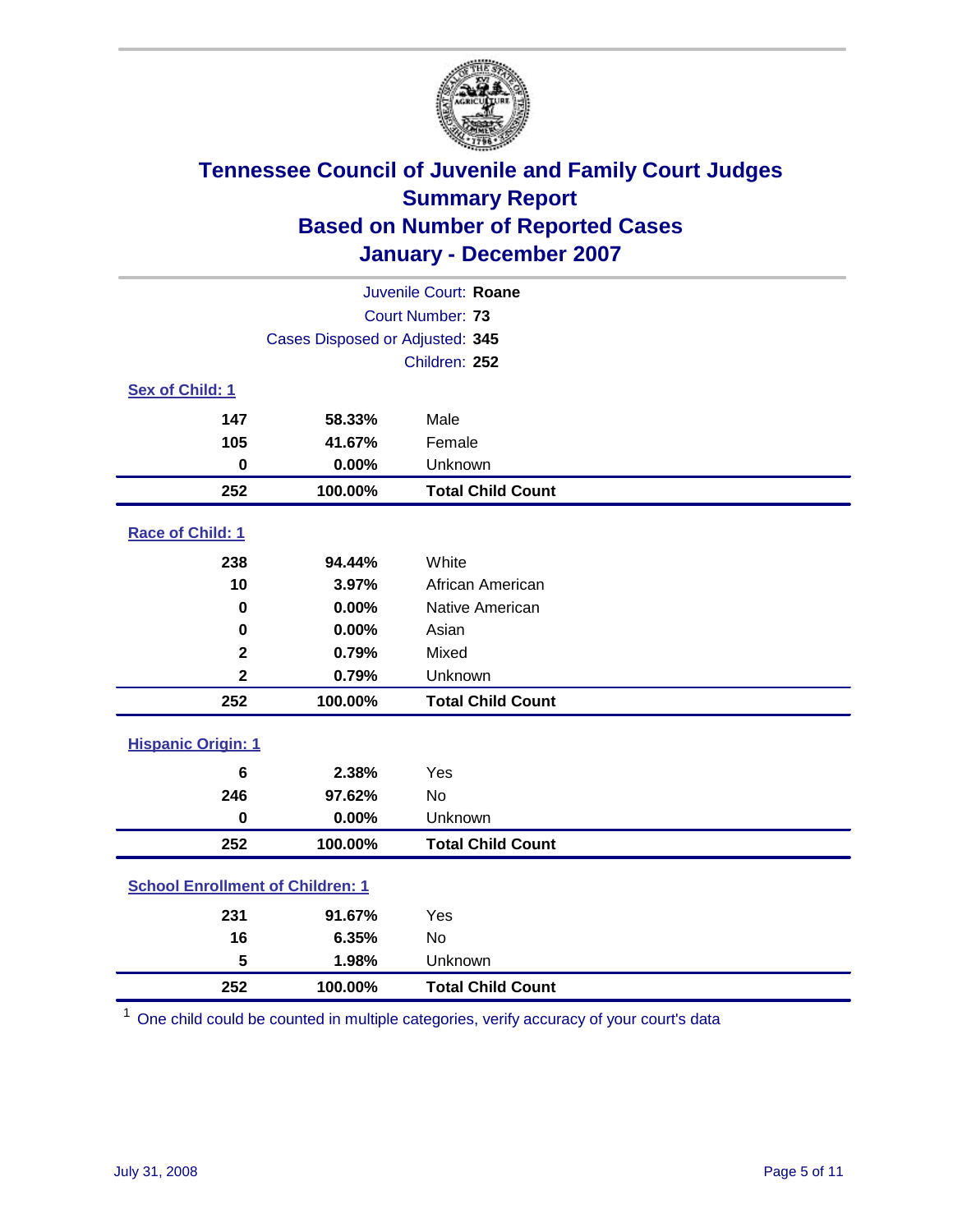

|                                         |                                 | Juvenile Court: Roane    |  |  |
|-----------------------------------------|---------------------------------|--------------------------|--|--|
| Court Number: 73                        |                                 |                          |  |  |
|                                         | Cases Disposed or Adjusted: 345 |                          |  |  |
|                                         |                                 | Children: 252            |  |  |
| Sex of Child: 1                         |                                 |                          |  |  |
| 147                                     | 58.33%                          | Male                     |  |  |
| 105                                     | 41.67%                          | Female                   |  |  |
| $\bf{0}$                                | 0.00%                           | Unknown                  |  |  |
| 252                                     | 100.00%                         | <b>Total Child Count</b> |  |  |
| <b>Race of Child: 1</b>                 |                                 |                          |  |  |
| 238                                     | 94.44%                          | White                    |  |  |
| 10                                      | 3.97%                           | African American         |  |  |
| 0                                       | 0.00%                           | Native American          |  |  |
| 0                                       | 0.00%                           | Asian                    |  |  |
| $\overline{\mathbf{2}}$                 | 0.79%                           | Mixed                    |  |  |
| $\overline{\mathbf{2}}$                 | 0.79%                           | Unknown                  |  |  |
| 252                                     | 100.00%                         | <b>Total Child Count</b> |  |  |
| <b>Hispanic Origin: 1</b>               |                                 |                          |  |  |
| $6\phantom{1}$                          | 2.38%                           | Yes                      |  |  |
| 246                                     | 97.62%                          | <b>No</b>                |  |  |
| $\mathbf 0$                             | 0.00%                           | Unknown                  |  |  |
| 252                                     | 100.00%                         | <b>Total Child Count</b> |  |  |
| <b>School Enrollment of Children: 1</b> |                                 |                          |  |  |
| 231                                     | 91.67%                          | Yes                      |  |  |
| 16                                      | 6.35%                           | No                       |  |  |
| 5                                       | 1.98%                           | Unknown                  |  |  |
| 252                                     | 100.00%                         | <b>Total Child Count</b> |  |  |

One child could be counted in multiple categories, verify accuracy of your court's data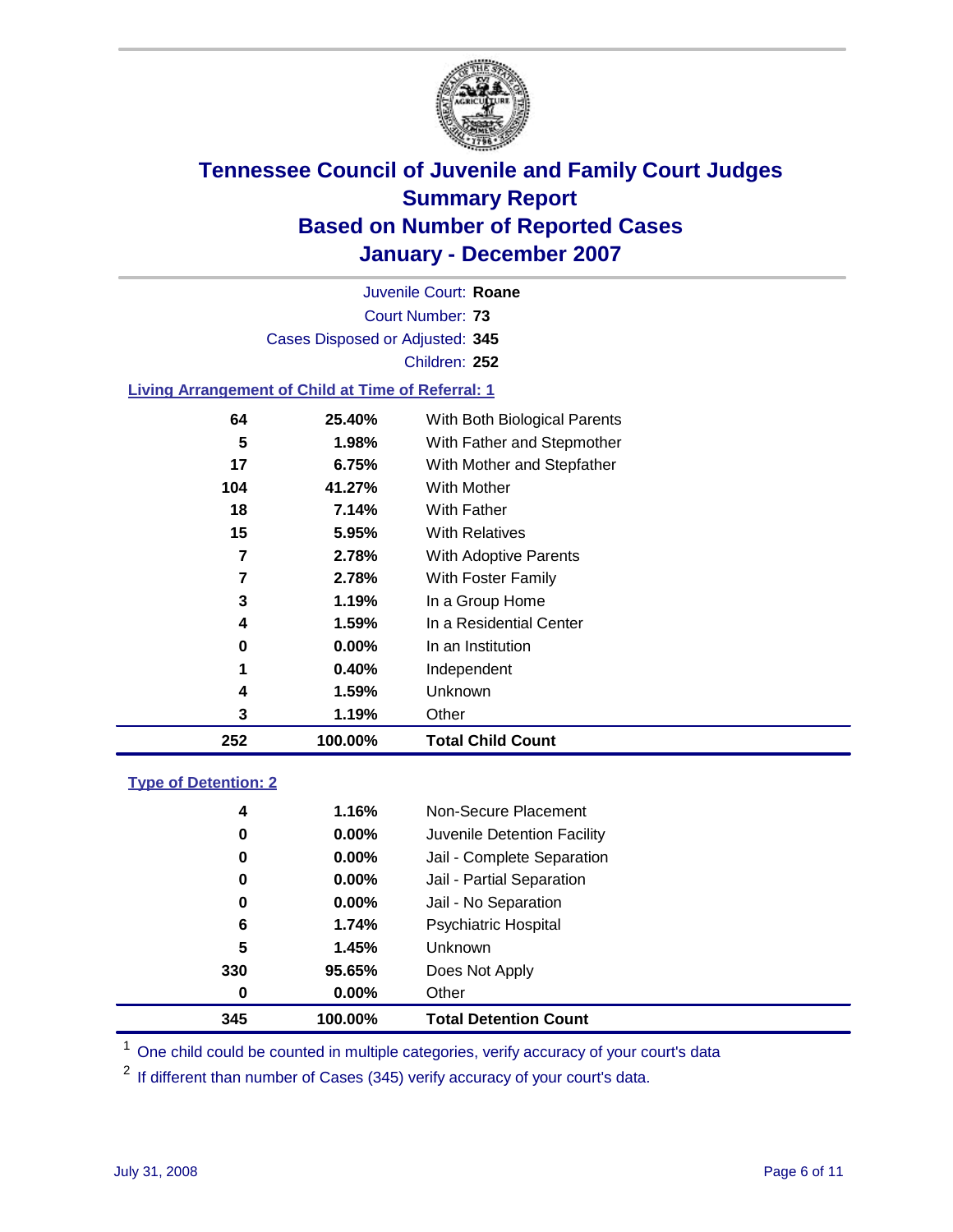

Court Number: **73** Juvenile Court: **Roane** Cases Disposed or Adjusted: **345** Children: **252**

#### **Living Arrangement of Child at Time of Referral: 1**

| 4<br>0<br>1<br>4<br>3 | 1.59%<br>$0.00\%$<br>0.40%<br>1.59%<br>1.19% | In a Residential Center<br>In an Institution<br>Independent<br>Unknown<br>Other |  |
|-----------------------|----------------------------------------------|---------------------------------------------------------------------------------|--|
|                       |                                              |                                                                                 |  |
|                       |                                              |                                                                                 |  |
|                       |                                              |                                                                                 |  |
|                       |                                              |                                                                                 |  |
|                       |                                              |                                                                                 |  |
| 3                     | 1.19%                                        | In a Group Home                                                                 |  |
| 7                     | 2.78%                                        | With Foster Family                                                              |  |
| 7                     | 2.78%                                        | With Adoptive Parents                                                           |  |
| 15                    | 5.95%                                        | <b>With Relatives</b>                                                           |  |
| 18                    | 7.14%                                        | <b>With Father</b>                                                              |  |
| 104                   | 41.27%                                       | With Mother                                                                     |  |
| 17                    | 6.75%                                        | With Mother and Stepfather                                                      |  |
| 5                     | 1.98%                                        | With Father and Stepmother                                                      |  |
| 64                    | 25.40%                                       | With Both Biological Parents                                                    |  |
|                       |                                              |                                                                                 |  |

#### **Type of Detention: 2**

| 345 | 100.00%  | <b>Total Detention Count</b> |  |
|-----|----------|------------------------------|--|
| 0   | $0.00\%$ | Other                        |  |
| 330 | 95.65%   | Does Not Apply               |  |
| 5   | 1.45%    | <b>Unknown</b>               |  |
| 6   | 1.74%    | <b>Psychiatric Hospital</b>  |  |
| 0   | 0.00%    | Jail - No Separation         |  |
| 0   | $0.00\%$ | Jail - Partial Separation    |  |
| 0   | $0.00\%$ | Jail - Complete Separation   |  |
| 0   | 0.00%    | Juvenile Detention Facility  |  |
| 4   | 1.16%    | Non-Secure Placement         |  |
|     |          |                              |  |

<sup>1</sup> One child could be counted in multiple categories, verify accuracy of your court's data

<sup>2</sup> If different than number of Cases (345) verify accuracy of your court's data.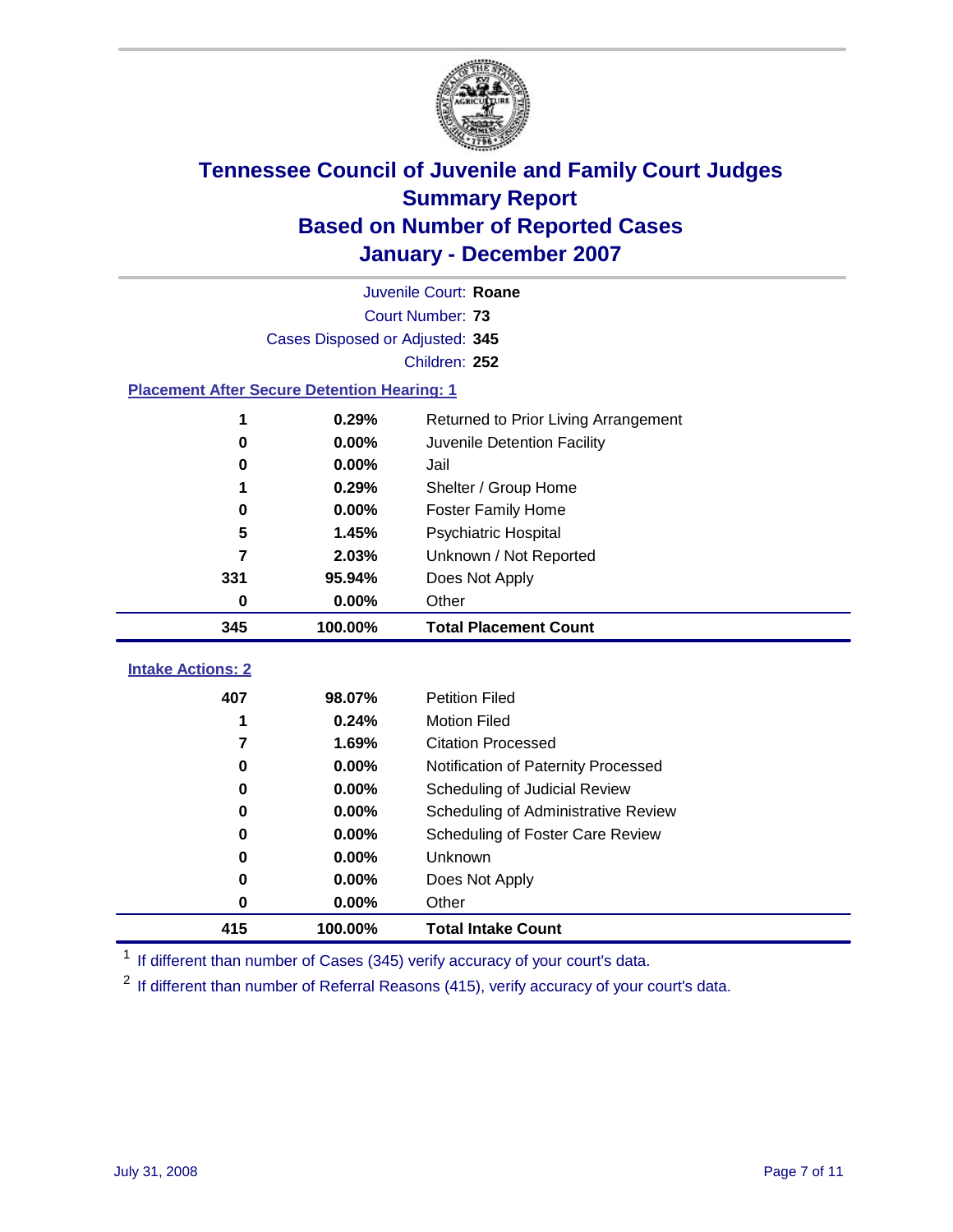

|                                                    |                                 | Juvenile Court: Roane                |  |
|----------------------------------------------------|---------------------------------|--------------------------------------|--|
| Court Number: 73                                   |                                 |                                      |  |
|                                                    | Cases Disposed or Adjusted: 345 |                                      |  |
|                                                    |                                 | Children: 252                        |  |
| <b>Placement After Secure Detention Hearing: 1</b> |                                 |                                      |  |
| 1                                                  | 0.29%                           | Returned to Prior Living Arrangement |  |
| 0                                                  | 0.00%                           | Juvenile Detention Facility          |  |
| 0                                                  | 0.00%                           | Jail                                 |  |
| 1                                                  | 0.29%                           | Shelter / Group Home                 |  |
| 0                                                  | 0.00%                           | <b>Foster Family Home</b>            |  |
| 5                                                  | 1.45%                           | Psychiatric Hospital                 |  |
| 7                                                  | 2.03%                           | Unknown / Not Reported               |  |
| 331                                                | 95.94%                          | Does Not Apply                       |  |
| 0                                                  | 0.00%                           | Other                                |  |
| 345                                                | 100.00%                         | <b>Total Placement Count</b>         |  |
| <b>Intake Actions: 2</b>                           |                                 |                                      |  |
|                                                    |                                 |                                      |  |
| 407                                                | 98.07%                          | <b>Petition Filed</b>                |  |
| 1                                                  | 0.24%                           | <b>Motion Filed</b>                  |  |
| 7                                                  | 1.69%                           | <b>Citation Processed</b>            |  |
| 0                                                  | $0.00\%$                        | Notification of Paternity Processed  |  |
| 0                                                  | 0.00%                           | Scheduling of Judicial Review        |  |
| 0                                                  | 0.00%                           | Scheduling of Administrative Review  |  |
| 0                                                  | 0.00%                           | Scheduling of Foster Care Review     |  |
| 0                                                  | 0.00%                           | Unknown                              |  |
| 0                                                  | 0.00%                           | Does Not Apply                       |  |
| 0                                                  | 0.00%                           | Other                                |  |
| 415                                                | 100.00%                         | <b>Total Intake Count</b>            |  |

<sup>1</sup> If different than number of Cases (345) verify accuracy of your court's data.

<sup>2</sup> If different than number of Referral Reasons (415), verify accuracy of your court's data.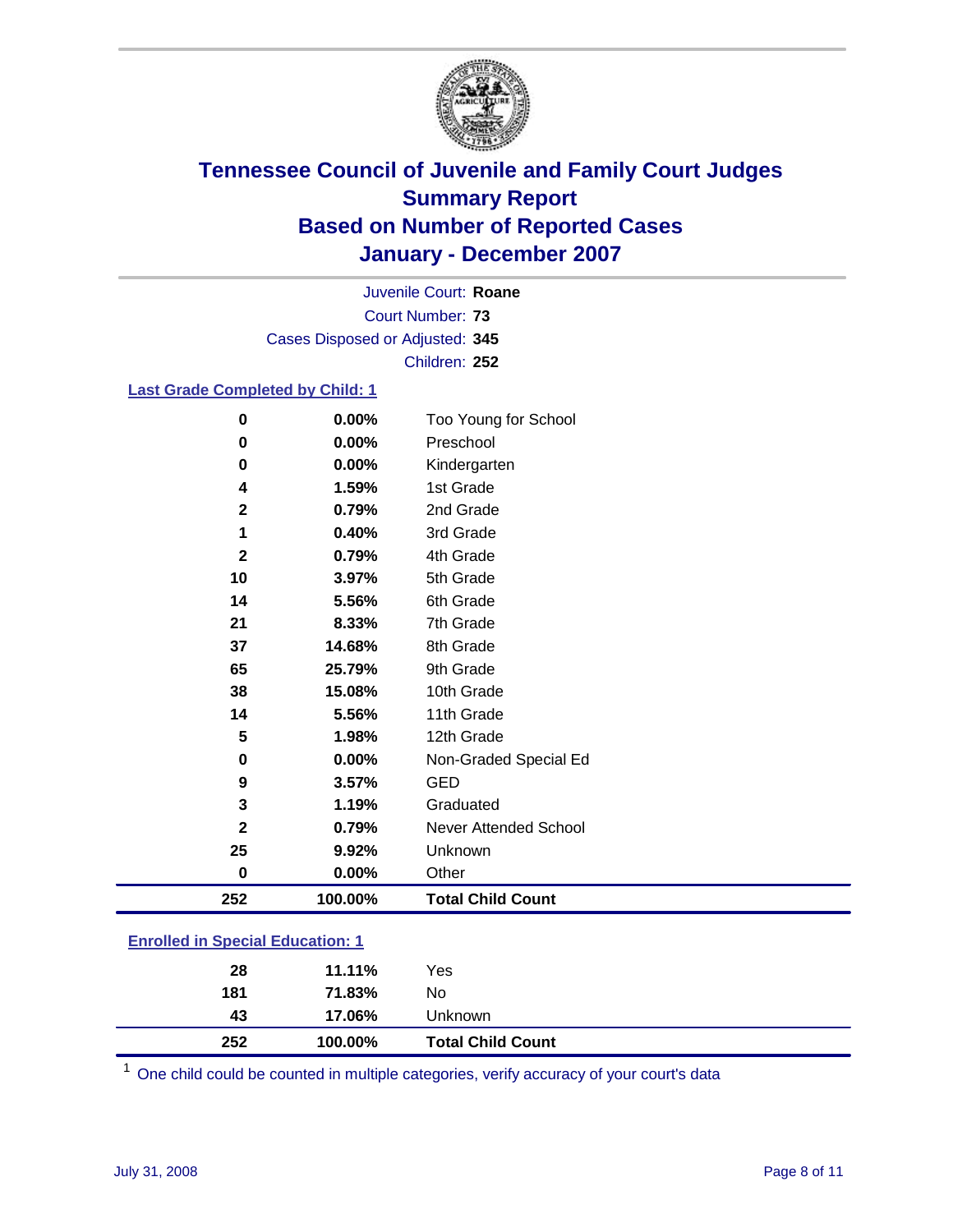

Court Number: **73** Juvenile Court: **Roane** Cases Disposed or Adjusted: **345** Children: **252**

#### **Last Grade Completed by Child: 1**

| $\bf{0}$     | 0.00%   | Too Young for School     |
|--------------|---------|--------------------------|
| $\bf{0}$     | 0.00%   | Preschool                |
| 0            | 0.00%   | Kindergarten             |
| 4            | 1.59%   | 1st Grade                |
| $\mathbf{2}$ | 0.79%   | 2nd Grade                |
|              | 0.40%   | 3rd Grade                |
| $\mathbf{2}$ | 0.79%   | 4th Grade                |
| 10           | 3.97%   | 5th Grade                |
| 14           | 5.56%   | 6th Grade                |
| 21           | 8.33%   | 7th Grade                |
| 37           | 14.68%  | 8th Grade                |
| 65           | 25.79%  | 9th Grade                |
| 38           | 15.08%  | 10th Grade               |
| 14           | 5.56%   | 11th Grade               |
| 5            | 1.98%   | 12th Grade               |
| 0            | 0.00%   | Non-Graded Special Ed    |
| 9            | 3.57%   | <b>GED</b>               |
| 3            | 1.19%   | Graduated                |
| $\mathbf{2}$ | 0.79%   | Never Attended School    |
| 25           | 9.92%   | Unknown                  |
| $\bf{0}$     | 0.00%   | Other                    |
| 252          | 100.00% | <b>Total Child Count</b> |
|              |         |                          |

### **Enrolled in Special Education: 1**

| 252 | 100.00% | <b>Total Child Count</b> |  |
|-----|---------|--------------------------|--|
| 43  | 17.06%  | Unknown                  |  |
| 181 | 71.83%  | No                       |  |
| 28  | 11.11%  | Yes                      |  |

<sup>1</sup> One child could be counted in multiple categories, verify accuracy of your court's data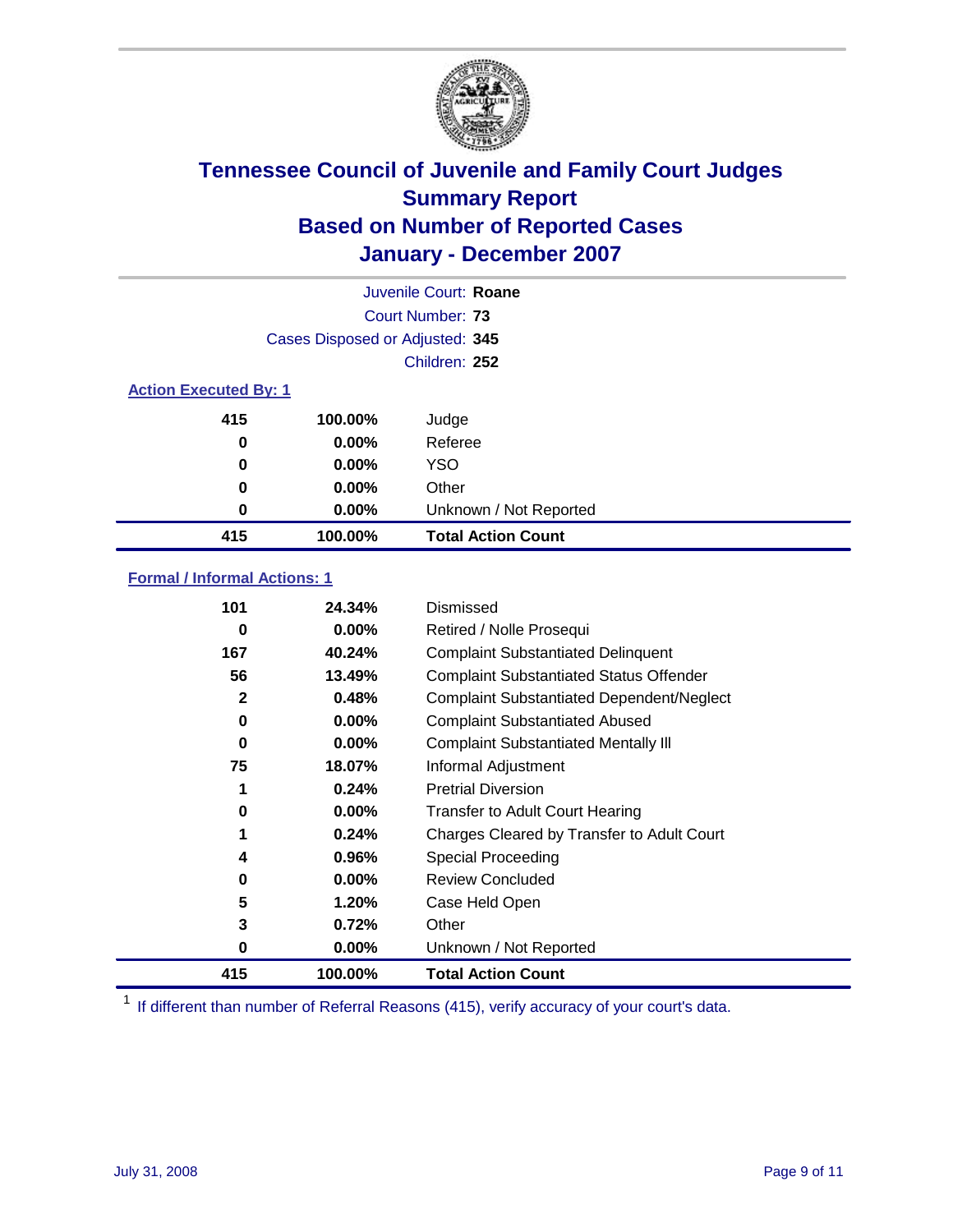

|                              |                                 | Juvenile Court: Roane     |
|------------------------------|---------------------------------|---------------------------|
|                              |                                 | Court Number: 73          |
|                              | Cases Disposed or Adjusted: 345 |                           |
|                              |                                 | Children: 252             |
| <b>Action Executed By: 1</b> |                                 |                           |
| 415                          | 100.00%                         | Judge                     |
| 0                            | $0.00\%$                        | Referee                   |
| 0                            | $0.00\%$                        | <b>YSO</b>                |
| 0                            | $0.00\%$                        | Other                     |
| 0                            | $0.00\%$                        | Unknown / Not Reported    |
| 415                          | 100.00%                         | <b>Total Action Count</b> |

### **Formal / Informal Actions: 1**

| 101 | 24.34%   | Dismissed                                        |
|-----|----------|--------------------------------------------------|
| 0   | $0.00\%$ | Retired / Nolle Prosequi                         |
| 167 | 40.24%   | <b>Complaint Substantiated Delinquent</b>        |
| 56  | 13.49%   | <b>Complaint Substantiated Status Offender</b>   |
| 2   | 0.48%    | <b>Complaint Substantiated Dependent/Neglect</b> |
| 0   | $0.00\%$ | <b>Complaint Substantiated Abused</b>            |
| 0   | $0.00\%$ | <b>Complaint Substantiated Mentally III</b>      |
| 75  | 18.07%   | Informal Adjustment                              |
| 1   | 0.24%    | <b>Pretrial Diversion</b>                        |
| 0   | $0.00\%$ | <b>Transfer to Adult Court Hearing</b>           |
| 1   | 0.24%    | Charges Cleared by Transfer to Adult Court       |
| 4   | 0.96%    | Special Proceeding                               |
| 0   | $0.00\%$ | <b>Review Concluded</b>                          |
| 5   | 1.20%    | Case Held Open                                   |
| 3   | 0.72%    | Other                                            |
| 0   | $0.00\%$ | Unknown / Not Reported                           |
| 415 | 100.00%  | <b>Total Action Count</b>                        |

<sup>1</sup> If different than number of Referral Reasons (415), verify accuracy of your court's data.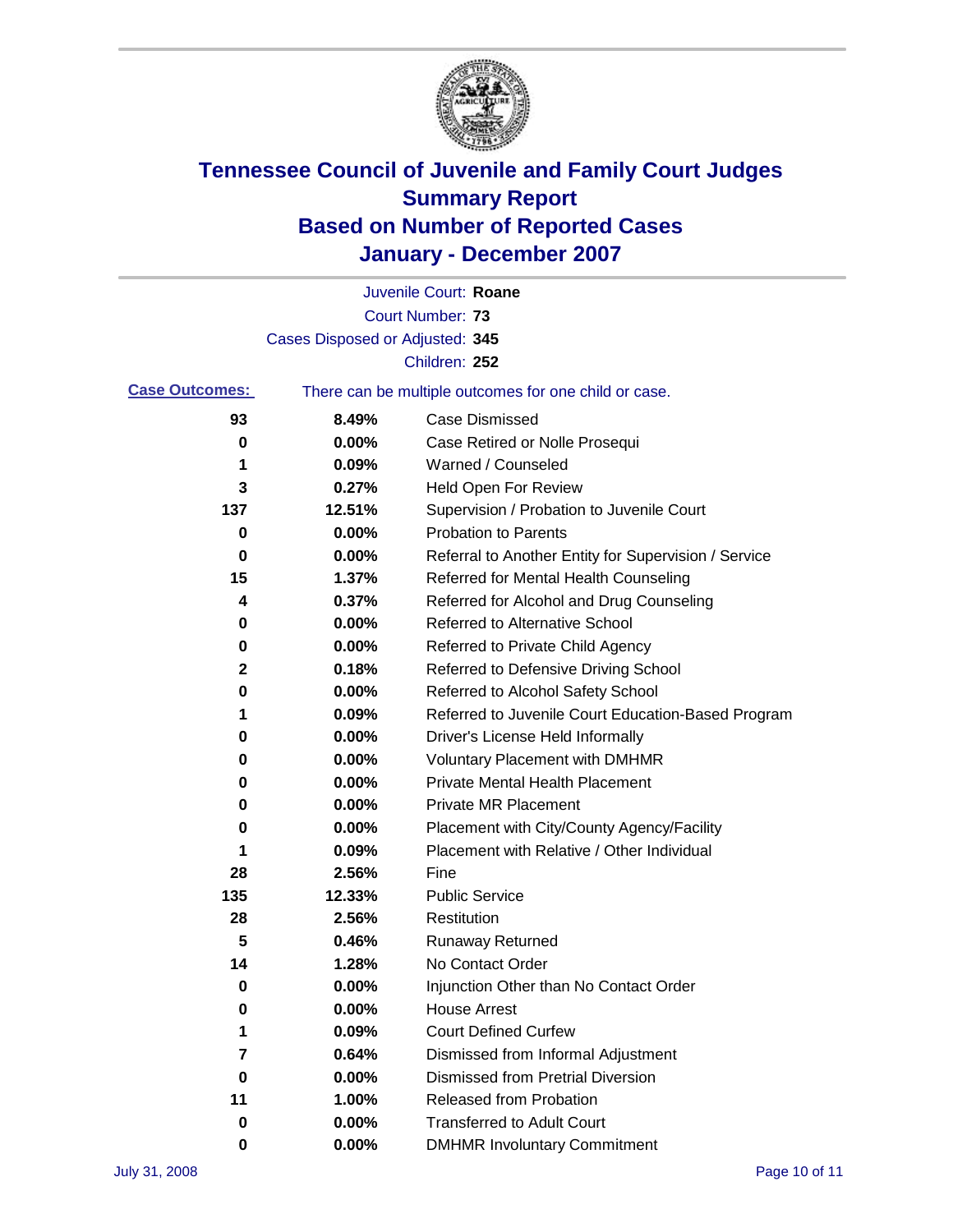

|                       |                                 | Juvenile Court: Roane                                 |
|-----------------------|---------------------------------|-------------------------------------------------------|
|                       |                                 | Court Number: 73                                      |
|                       | Cases Disposed or Adjusted: 345 |                                                       |
|                       |                                 | Children: 252                                         |
| <b>Case Outcomes:</b> |                                 | There can be multiple outcomes for one child or case. |
| 93                    | 8.49%                           | <b>Case Dismissed</b>                                 |
| 0                     | 0.00%                           | Case Retired or Nolle Prosequi                        |
| 1                     | 0.09%                           | Warned / Counseled                                    |
| 3                     | 0.27%                           | <b>Held Open For Review</b>                           |
| 137                   | 12.51%                          | Supervision / Probation to Juvenile Court             |
| 0                     | 0.00%                           | <b>Probation to Parents</b>                           |
| 0                     | 0.00%                           | Referral to Another Entity for Supervision / Service  |
| 15                    | 1.37%                           | Referred for Mental Health Counseling                 |
| 4                     | 0.37%                           | Referred for Alcohol and Drug Counseling              |
| 0                     | 0.00%                           | Referred to Alternative School                        |
| 0                     | 0.00%                           | Referred to Private Child Agency                      |
| 2                     | 0.18%                           | Referred to Defensive Driving School                  |
| 0                     | 0.00%                           | Referred to Alcohol Safety School                     |
| 1                     | 0.09%                           | Referred to Juvenile Court Education-Based Program    |
| 0                     | 0.00%                           | Driver's License Held Informally                      |
| 0                     | 0.00%                           | <b>Voluntary Placement with DMHMR</b>                 |
| 0                     | 0.00%                           | Private Mental Health Placement                       |
| 0                     | 0.00%                           | <b>Private MR Placement</b>                           |
| 0                     | 0.00%                           | Placement with City/County Agency/Facility            |
| 1                     | 0.09%                           | Placement with Relative / Other Individual            |
| 28                    | 2.56%                           | Fine                                                  |
| 135                   | 12.33%                          | <b>Public Service</b>                                 |
| 28                    | 2.56%                           | Restitution                                           |
| 5                     | 0.46%                           | <b>Runaway Returned</b>                               |
| 14                    | 1.28%                           | No Contact Order                                      |
| 0                     | 0.00%                           | Injunction Other than No Contact Order                |
| 0                     | 0.00%                           | <b>House Arrest</b>                                   |
| 1                     | 0.09%                           | <b>Court Defined Curfew</b>                           |
| 7                     | 0.64%                           | Dismissed from Informal Adjustment                    |
| 0                     | 0.00%                           | <b>Dismissed from Pretrial Diversion</b>              |
| 11                    | 1.00%                           | Released from Probation                               |
| 0                     | 0.00%                           | <b>Transferred to Adult Court</b>                     |
| 0                     | 0.00%                           | <b>DMHMR Involuntary Commitment</b>                   |